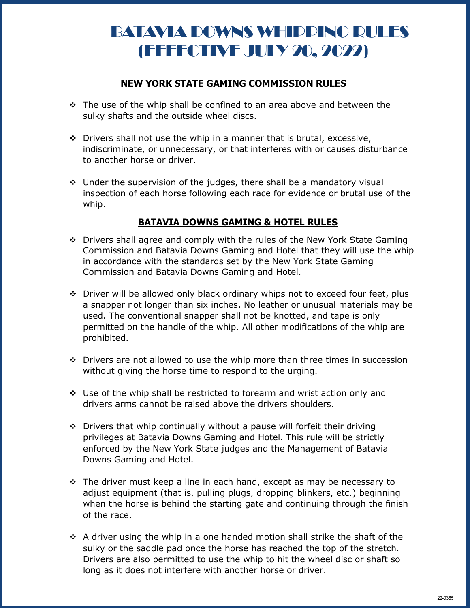## BATAVIA DOWNS WHIPPING RULES (EFFECTIVE JULY 20, 2022)

## **NEW YORK STATE GAMING COMMISSION RULES**

- $\cdot \cdot$  The use of the whip shall be confined to an area above and between the sulky shafts and the outside wheel discs.
- $\cdot$  Drivers shall not use the whip in a manner that is brutal, excessive, indiscriminate, or unnecessary, or that interferes with or causes disturbance to another horse or driver.
- $\div$  Under the supervision of the judges, there shall be a mandatory visual inspection of each horse following each race for evidence or brutal use of the whip.

## **BATAVIA DOWNS GAMING & HOTEL RULES**

- Drivers shall agree and comply with the rules of the New York State Gaming Commission and Batavia Downs Gaming and Hotel that they will use the whip in accordance with the standards set by the New York State Gaming Commission and Batavia Downs Gaming and Hotel.
- ◆ Driver will be allowed only black ordinary whips not to exceed four feet, plus a snapper not longer than six inches. No leather or unusual materials may be used. The conventional snapper shall not be knotted, and tape is only permitted on the handle of the whip. All other modifications of the whip are prohibited.
- $\div$  Drivers are not allowed to use the whip more than three times in succession without giving the horse time to respond to the urging.
- Use of the whip shall be restricted to forearm and wrist action only and drivers arms cannot be raised above the drivers shoulders.
- ◆ Drivers that whip continually without a pause will forfeit their driving privileges at Batavia Downs Gaming and Hotel. This rule will be strictly enforced by the New York State judges and the Management of Batavia Downs Gaming and Hotel.
- $\div$  The driver must keep a line in each hand, except as may be necessary to adjust equipment (that is, pulling plugs, dropping blinkers, etc.) beginning when the horse is behind the starting gate and continuing through the finish of the race.
- $\div$  A driver using the whip in a one handed motion shall strike the shaft of the sulky or the saddle pad once the horse has reached the top of the stretch. Drivers are also permitted to use the whip to hit the wheel disc or shaft so long as it does not interfere with another horse or driver.